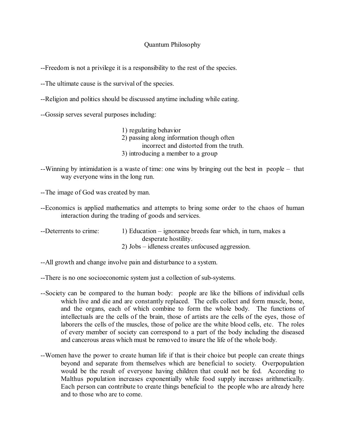## Quantum Philosophy

--Freedom is not a privilege it is a responsibility to the rest of the species.

--The ultimate cause is the survival of the species.

--Religion and politics should be discussed anytime including while eating.

--Gossip serves several purposes including:

1) regulating behavior 2) passing along information though often incorrect and distorted from the truth. 3) introducing a member to a group

--Winning by intimidation is a waste of time: one wins by bringing out the best in people – that way everyone wins in the long run.

--The image of God was created by man.

--Economics is applied mathematics and attempts to bring some order to the chaos of human interaction during the trading of goods and services.

| --Deterrents to crime: | 1) Education – ignorance breeds fear which, in turn, makes a |
|------------------------|--------------------------------------------------------------|
|                        | desperate hostility.                                         |
|                        | 2) $\text{Jobs}$ – idleness creates unfocused aggression.    |

- --All growth and change involve pain and disturbance to a system.
- --There is no one socioeconomic system just a collection of sub-systems.
- --Society can be compared to the human body: people are like the billions of individual cells which live and die and are constantly replaced. The cells collect and form muscle, bone, and the organs, each of which combine to form the whole body. The functions of intellectuals are the cells of the brain, those of artists are the cells of the eyes, those of laborers the cells of the muscles, those of police are the white blood cells, etc. The roles of every member of society can correspond to a part of the body including the diseased and cancerous areas which must be removed to insure the life of the whole body.
- --Women have the power to create human life if that is their choice but people can create things beyond and separate from themselves which are beneficial to society. Overpopulation would be the result of everyone having children that could not be fed. According to Malthus population increases exponentially while food supply increases arithmetically. Each person can contribute to create things beneficial to the people who are already here and to those who are to come.